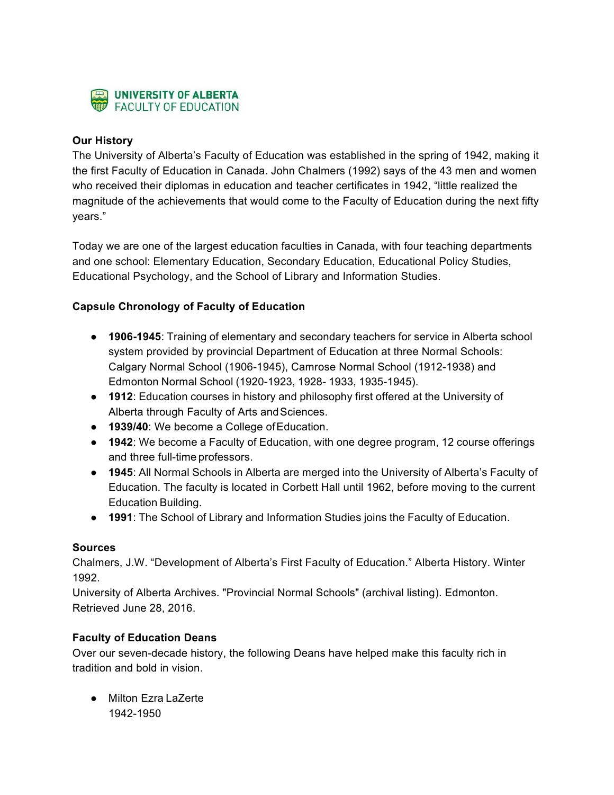

## **Our History**

The University of Alberta's Faculty of Education was established in the spring of 1942, making it the first Faculty of Education in Canada. John Chalmers (1992) says of the 43 men and women who received their diplomas in education and teacher certificates in 1942, "little realized the magnitude of the achievements that would come to the Faculty of Education during the next fifty years."

Today we are one of the largest education faculties in Canada, with four teaching departments and one school: Elementary Education, Secondary Education, Educational Policy Studies, Educational Psychology, and the School of Library and Information Studies.

## **Capsule Chronology of Faculty of Education**

- **1906-1945**: Training of elementary and secondary teachers for service in Alberta school system provided by provincial Department of Education at three Normal Schools: Calgary Normal School (1906-1945), Camrose Normal School (1912-1938) and Edmonton Normal School (1920-1923, 1928- 1933, 1935-1945).
- **1912**: Education courses in history and philosophy first offered at the University of Alberta through Faculty of Arts and Sciences.
- **1939/40**: We become a College ofEducation.
- **1942**: We become a Faculty of Education, with one degree program, 12 course offerings and three full-time professors.
- **1945**: All Normal Schools in Alberta are merged into the University of Alberta's Faculty of Education. The faculty is located in Corbett Hall until 1962, before moving to the current Education Building.
- **1991**: The School of Library and Information Studies joins the Faculty of Education.

## **Sources**

Chalmers, J.W. "Development of Alberta's First Faculty of Education." Alberta History. Winter 1992.

University of Alberta Archives. "Provincial Normal Schools" (archival listing). Edmonton. Retrieved June 28, 2016.

## **Faculty of Education Deans**

Over our seven-decade history, the following Deans have helped make this faculty rich in tradition and bold in vision.

● Milton Ezra LaZerte 1942-1950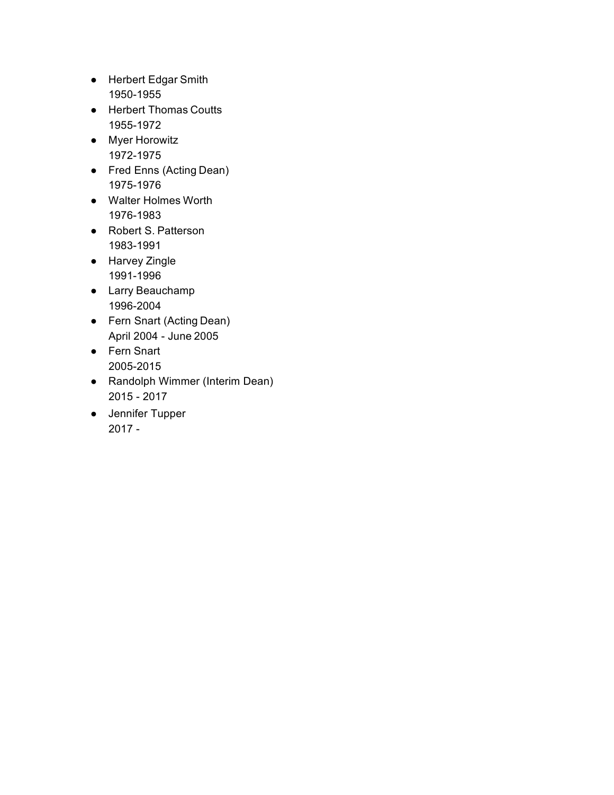- Herbert Edgar Smith 1950-1955
- Herbert Thomas Coutts 1955-1972
- Myer Horowitz 1972-1975
- Fred Enns (Acting Dean) 1975-1976
- Walter Holmes Worth 1976-1983
- Robert S. Patterson 1983-1991
- Harvey Zingle 1991-1996
- Larry Beauchamp 1996-2004
- Fern Snart (Acting Dean) April 2004 - June 2005
- Fern Snart 2005-2015
- Randolph Wimmer (Interim Dean) 2015 - 2017
- Jennifer Tupper 2017 -